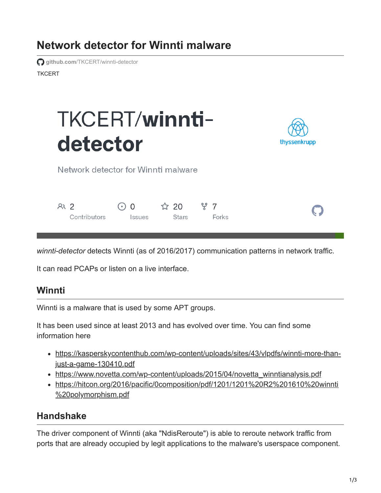# **Network detector for Winnti malware**

**TKCFRT github.com[/TKCERT/winnti-detector](https://github.com/TKCERT/winnti-detector)** 

# TKCERT/winntidetector



Network detector for Winnti malware

| AR <sub>2</sub> | $\odot$ 0     |       |       |  |
|-----------------|---------------|-------|-------|--|
| Contributors    | <i>Issues</i> | Stars | Forks |  |

*winnti-detector* detects Winnti (as of 2016/2017) communication patterns in network traffic.

It can read PCAPs or listen on a live interface.

## **Winnti**

Winnti is a malware that is used by some APT groups.

It has been used since at least 2013 and has evolved over time. You can find some information here

- [https://kasperskycontenthub.com/wp-content/uploads/sites/43/vlpdfs/winnti-more-than](https://kasperskycontenthub.com/wp-content/uploads/sites/43/vlpdfs/winnti-more-than-just-a-game-130410.pdf)just-a-game-130410.pdf
- [https://www.novetta.com/wp-content/uploads/2015/04/novetta\\_winntianalysis.pdf](https://www.novetta.com/wp-content/uploads/2015/04/novetta_winntianalysis.pdf)
- [https://hitcon.org/2016/pacific/0composition/pdf/1201/1201%20R2%201610%20winnti](https://hitcon.org/2016/pacific/0composition/pdf/1201/1201%20R2%201610%20winnti%20polymorphism.pdf) %20polymorphism.pdf

## **Handshake**

The driver component of Winnti (aka "NdisReroute") is able to reroute network traffic from ports that are already occupied by legit applications to the malware's userspace component.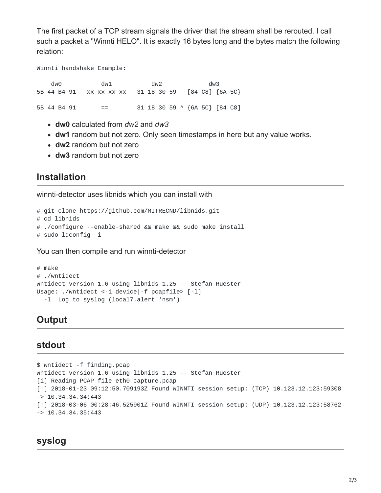The first packet of a TCP stream signals the driver that the stream shall be rerouted. I call such a packet a "Winnti HELO". It is exactly 16 bytes long and the bytes match the following relation:

Winnti handshake Example:

dw0 dw1 dw2 dw3 5B 44 B4 91 xx xx xx xx 31 18 30 59 [84 C8] {6A 5C} 5B 44 B4 91 == 31 18 30 59 ^ {6A 5C} [84 C8]

- **dw0** calculated from *dw2* and *dw3*
- **dw1** random but not zero. Only seen timestamps in here but any value works.
- **dw2** random but not zero
- **dw3** random but not zero

#### **Installation**

winnti-detector uses libnids which you can install with

```
# git clone https://github.com/MITRECND/libnids.git
# cd libnids
# ./configure --enable-shared && make && sudo make install
# sudo ldconfig -i
```
You can then compile and run winnti-detector

```
# make
# ./wntidect
wntidect version 1.6 using libnids 1.25 -- Stefan Ruester
Usage: ./wntidect <-i device|-f pcapfile> [-1]
  -l Log to syslog (local7.alert 'nsm')
```
#### **Output**

#### **stdout**

\$ wntidect -f finding.pcap wntidect version 1.6 using libnids 1.25 -- Stefan Ruester [i] Reading PCAP file eth0\_capture.pcap [!] 2018-01-23 09:12:50.709193Z Found WINNTI session setup: (TCP) 10.123.12.123:59308 -> 10.34.34.34:443 [!] 2018-03-06 00:28:46.525901Z Found WINNTI session setup: (UDP) 10.123.12.123:58762  $-$  > 10.34.34.35:443

#### **syslog**